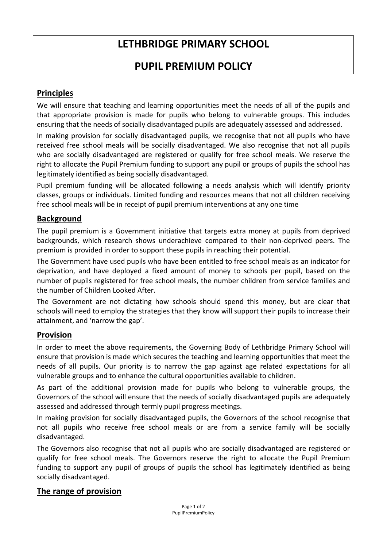# **LETHBRIDGE PRIMARY SCHOOL**

# **PUPIL PREMIUM POLICY**

# **Principles**

We will ensure that teaching and learning opportunities meet the needs of all of the pupils and that appropriate provision is made for pupils who belong to vulnerable groups. This includes ensuring that the needs of socially disadvantaged pupils are adequately assessed and addressed.

In making provision for socially disadvantaged pupils, we recognise that not all pupils who have received free school meals will be socially disadvantaged. We also recognise that not all pupils who are socially disadvantaged are registered or qualify for free school meals. We reserve the right to allocate the Pupil Premium funding to support any pupil or groups of pupils the school has legitimately identified as being socially disadvantaged.

Pupil premium funding will be allocated following a needs analysis which will identify priority classes, groups or individuals. Limited funding and resources means that not all children receiving free school meals will be in receipt of pupil premium interventions at any one time

### **Background**

The pupil premium is a Government initiative that targets extra money at pupils from deprived backgrounds, which research shows underachieve compared to their non‐deprived peers. The premium is provided in order to support these pupils in reaching their potential.

The Government have used pupils who have been entitled to free school meals as an indicator for deprivation, and have deployed a fixed amount of money to schools per pupil, based on the number of pupils registered for free school meals, the number children from service families and the number of Children Looked After.

The Government are not dictating how schools should spend this money, but are clear that schools will need to employ the strategies that they know will support their pupils to increase their attainment, and 'narrow the gap'.

#### **Provision**

In order to meet the above requirements, the Governing Body of Lethbridge Primary School will ensure that provision is made which secures the teaching and learning opportunities that meet the needs of all pupils. Our priority is to narrow the gap against age related expectations for all vulnerable groups and to enhance the cultural opportunities available to children.

As part of the additional provision made for pupils who belong to vulnerable groups, the Governors of the school will ensure that the needs of socially disadvantaged pupils are adequately assessed and addressed through termly pupil progress meetings.

In making provision for socially disadvantaged pupils, the Governors of the school recognise that not all pupils who receive free school meals or are from a service family will be socially disadvantaged.

The Governors also recognise that not all pupils who are socially disadvantaged are registered or qualify for free school meals. The Governors reserve the right to allocate the Pupil Premium funding to support any pupil of groups of pupils the school has legitimately identified as being socially disadvantaged.

#### **The range of provision**